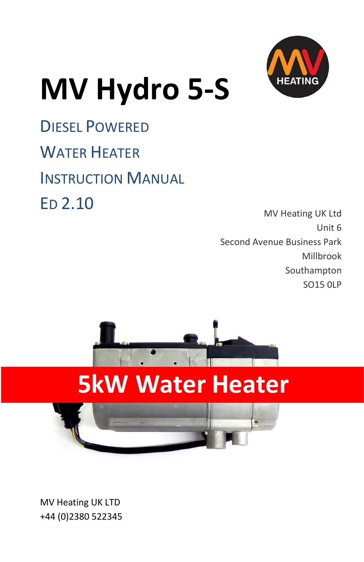

# **MV Hydro 5-S**

DIESEL POWERED WATER HEATER INSTRUCTION MANUAL ED 2.10

MV Heating UK Ltd Unit 6 Second Avenue Business Park Millbrook Southampton SO15 0LP



## **5kW Water Heater**

MV Heating UK LTD +44 (0)2380 522345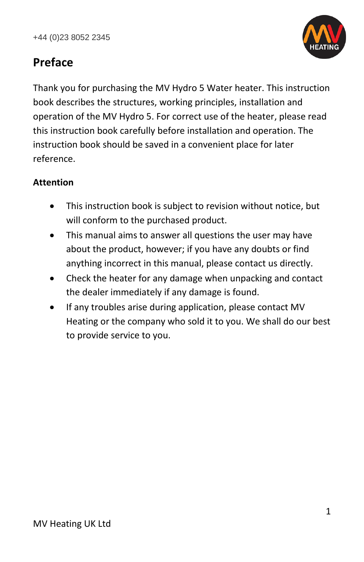

#### **Preface**

Thank you for purchasing the MV Hydro 5 Water heater. This instruction book describes the structures, working principles, installation and operation of the MV Hydro 5. For correct use of the heater, please read this instruction book carefully before installation and operation. The instruction book should be saved in a convenient place for later reference.

#### **Attention**

- This instruction book is subject to revision without notice, but will conform to the purchased product.
- This manual aims to answer all questions the user may have about the product, however; if you have any doubts or find anything incorrect in this manual, please contact us directly.
- Check the heater for any damage when unpacking and contact the dealer immediately if any damage is found.
- If any troubles arise during application, please contact MV Heating or the company who sold it to you. We shall do our best to provide service to you.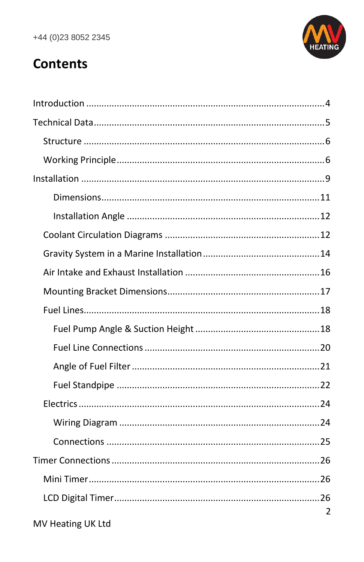

### **Contents**

| 2 |
|---|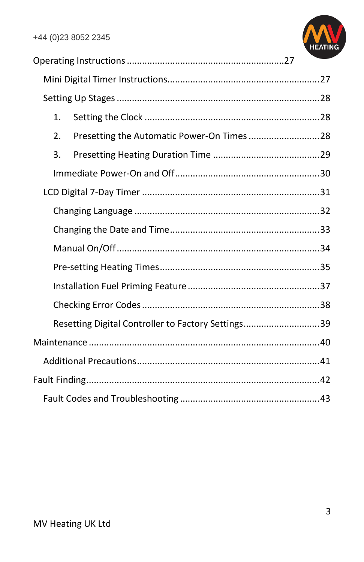

| 1. |                                                    |  |
|----|----------------------------------------------------|--|
| 2. |                                                    |  |
| 3. |                                                    |  |
|    |                                                    |  |
|    |                                                    |  |
|    |                                                    |  |
|    |                                                    |  |
|    |                                                    |  |
|    |                                                    |  |
|    |                                                    |  |
|    |                                                    |  |
|    | Resetting Digital Controller to Factory Settings39 |  |
|    |                                                    |  |
|    |                                                    |  |
|    |                                                    |  |
|    |                                                    |  |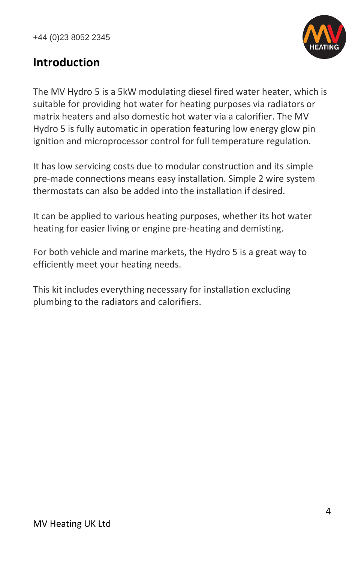

#### <span id="page-4-0"></span>**Introduction**

The MV Hydro 5 is a 5kW modulating diesel fired water heater, which is suitable for providing hot water for heating purposes via radiators or matrix heaters and also domestic hot water via a calorifier. The MV Hydro 5 is fully automatic in operation featuring low energy glow pin ignition and microprocessor control for full temperature regulation.

It has low servicing costs due to modular construction and its simple pre-made connections means easy installation. Simple 2 wire system thermostats can also be added into the installation if desired.

It can be applied to various heating purposes, whether its hot water heating for easier living or engine pre-heating and demisting.

For both vehicle and marine markets, the Hydro 5 is a great way to efficiently meet your heating needs.

This kit includes everything necessary for installation excluding plumbing to the radiators and calorifiers.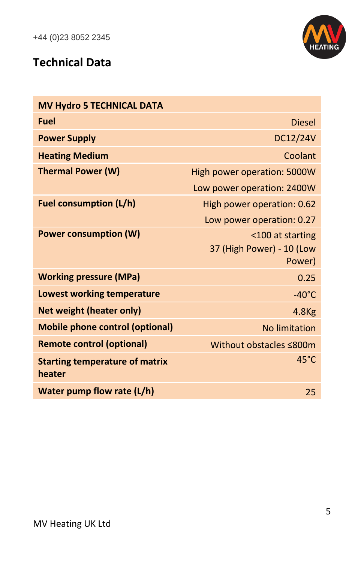

#### <span id="page-5-0"></span>**Technical Data**

| <b>MV Hydro 5 TECHNICAL DATA</b>                |                             |
|-------------------------------------------------|-----------------------------|
| <b>Fuel</b>                                     | <b>Diesel</b>               |
| <b>Power Supply</b>                             | DC12/24V                    |
| <b>Heating Medium</b>                           | Coolant                     |
| <b>Thermal Power (W)</b>                        | High power operation: 5000W |
|                                                 | Low power operation: 2400W  |
| <b>Fuel consumption (L/h)</b>                   | High power operation: 0.62  |
|                                                 | Low power operation: 0.27   |
| <b>Power consumption (W)</b>                    | <100 at starting            |
|                                                 | 37 (High Power) - 10 (Low   |
|                                                 | Power)                      |
| <b>Working pressure (MPa)</b>                   | 0.25                        |
| <b>Lowest working temperature</b>               | $-40^{\circ}$ C             |
| <b>Net weight (heater only)</b>                 | 4.8 <sub>Kg</sub>           |
| <b>Mobile phone control (optional)</b>          | No limitation               |
| <b>Remote control (optional)</b>                | Without obstacles ≤800m     |
| <b>Starting temperature of matrix</b><br>heater | 45°C                        |
| Water pump flow rate (L/h)                      | 25                          |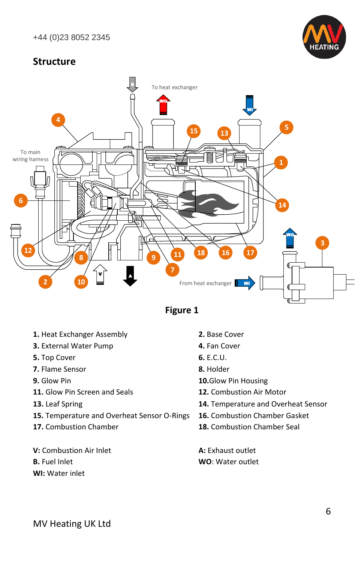

#### <span id="page-6-1"></span><span id="page-6-0"></span>**Structure**



#### **Figure 1**

- **1.** Heat Exchanger Assembly **2.** Base Cover
- **3.** External Water Pump **4.** Fan Cover
- **5.** Top Cover **6.** E.C.U.
- **7.** Flame Sensor **8.** Holder
- 
- **11.** Glow Pin Screen and Seals **12.** Combustion Air Motor
- 
- **15.** Temperature and Overheat Sensor O-Rings **16.** Combustion Chamber Gasket
- 
- **V:** Combustion Air Inlet **A:** Exhaust outlet
- 
- **WI:** Water inlet
- 
- 
- 
- 
- **9.** Glow Pin **10.**Glow Pin Housing
	-
- **13.** Leaf Spring **14.** Temperature and Overheat Sensor
	-
- **17.** Combustion Chamber **18.** Combustion Chamber Seal

**B.** Fuel Inlet **B. WO**: Water outlet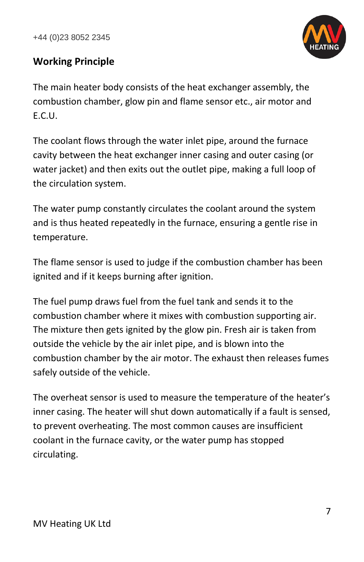

#### **Working Principle**

The main heater body consists of the heat exchanger assembly, the combustion chamber, glow pin and flame sensor etc., air motor and E.C.U.

The coolant flows through the water inlet pipe, around the furnace cavity between the heat exchanger inner casing and outer casing (or water jacket) and then exits out the outlet pipe, making a full loop of the circulation system.

The water pump constantly circulates the coolant around the system and is thus heated repeatedly in the furnace, ensuring a gentle rise in temperature.

The flame sensor is used to judge if the combustion chamber has been ignited and if it keeps burning after ignition.

The fuel pump draws fuel from the fuel tank and sends it to the combustion chamber where it mixes with combustion supporting air. The mixture then gets ignited by the glow pin. Fresh air is taken from outside the vehicle by the air inlet pipe, and is blown into the combustion chamber by the air motor. The exhaust then releases fumes safely outside of the vehicle.

The overheat sensor is used to measure the temperature of the heater's inner casing. The heater will shut down automatically if a fault is sensed, to prevent overheating. The most common causes are insufficient coolant in the furnace cavity, or the water pump has stopped circulating.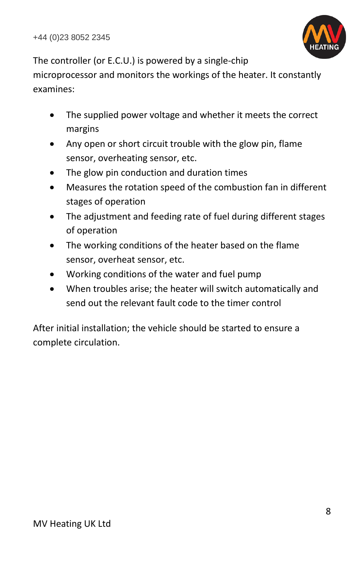

The controller (or E.C.U.) is powered by a single-chip microprocessor and monitors the workings of the heater. It constantly examines:

- The supplied power voltage and whether it meets the correct margins
- Any open or short circuit trouble with the glow pin, flame sensor, overheating sensor, etc.
- The glow pin conduction and duration times
- Measures the rotation speed of the combustion fan in different stages of operation
- The adjustment and feeding rate of fuel during different stages of operation
- The working conditions of the heater based on the flame sensor, overheat sensor, etc.
- Working conditions of the water and fuel pump
- When troubles arise; the heater will switch automatically and send out the relevant fault code to the timer control

After initial installation; the vehicle should be started to ensure a complete circulation.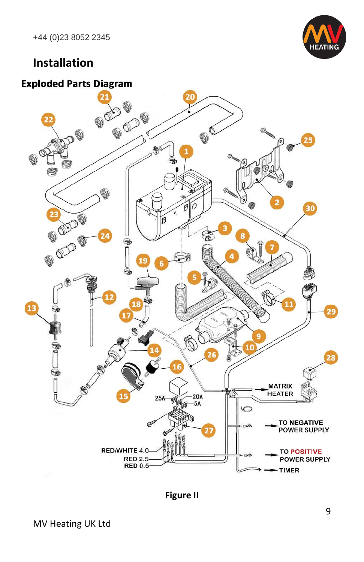

#### <span id="page-9-0"></span>**Installation**

#### **Exploded Parts Diagram**



**Figure II**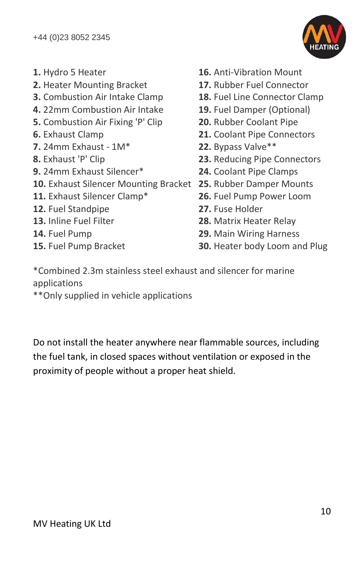

- 
- **2.** Heater Mounting Bracket **17.** Rubber Fuel Connector
- 
- 
- **5.** Combustion Air Fixing 'P' Clip **20.** Rubber Coolant Pipe
- 
- **7.** 24mm Exhaust 1M\* **22.** Bypass Valve\*\*
- 
- **9.** 24mm Exhaust Silencer\* **24.** Coolant Pipe Clamps
- **10.** Exhaust Silencer Mounting Bracket **25.** Rubber Damper Mounts
- 
- **12.** Fuel Standpipe **27.** Fuse Holder
- 
- 
- 
- **1.** Hydro 5 Heater **16.** Anti-Vibration Mount
	-
- **3.** Combustion Air Intake Clamp **18.** Fuel Line Connector Clamp
- **4.** 22mm Combustion Air Intake **19.** Fuel Damper (Optional)
	-
- **6.** Exhaust Clamp **21.** Coolant Pipe Connectors
	-
- **8.** Exhaust 'P' Clip **23.** Reducing Pipe Connectors
	-
	-
- **11.** Exhaust Silencer Clamp\* **26.** Fuel Pump Power Loom
	-
- **13.** Inline Fuel Filter **28.** Matrix Heater Relay
- **14.** Fuel Pump **29.** Main Wiring Harness
- **15.** Fuel Pump Bracket **30.** Heater body Loom and Plug

\*Combined 2.3m stainless steel exhaust and silencer for marine applications

\*\*Only supplied in vehicle applications

Do not install the heater anywhere near flammable sources, including the fuel tank, in closed spaces without ventilation or exposed in the proximity of people without a proper heat shield.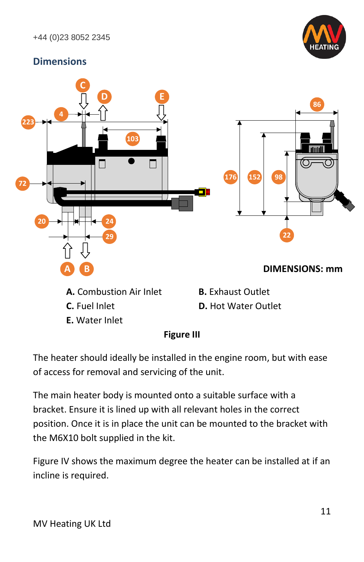

#### <span id="page-11-0"></span>**Dimensions**



**E.** Water Inlet



The heater should ideally be installed in the engine room, but with ease of access for removal and servicing of the unit.

The main heater body is mounted onto a suitable surface with a bracket. Ensure it is lined up with all relevant holes in the correct position. Once it is in place the unit can be mounted to the bracket with the M6X10 bolt supplied in the kit.

Figure IV shows the maximum degree the heater can be installed at if an incline is required.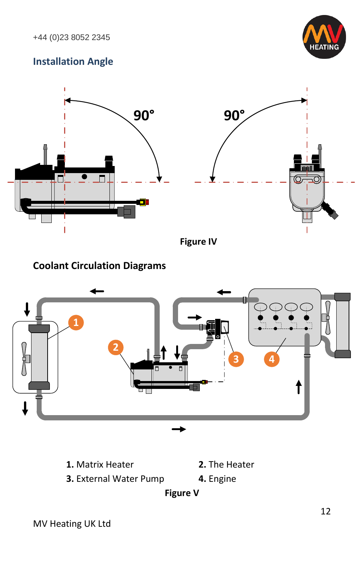

#### <span id="page-12-0"></span>**Installation Angle**



**Figure IV**

#### <span id="page-12-1"></span>**Coolant Circulation Diagrams**



**1.** Matrix Heater **2.** The Heater

**3.** External Water Pump **4.** Engine

**Figure V**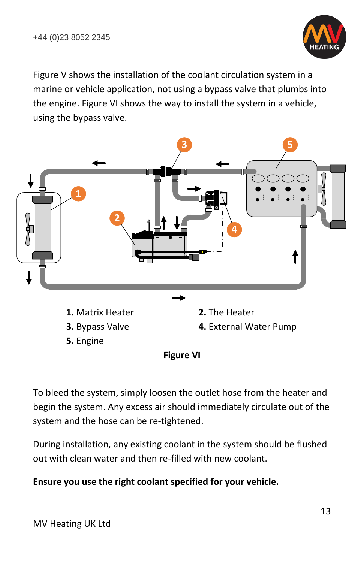

Figure V shows the installation of the coolant circulation system in a marine or vehicle application, not using a bypass valve that plumbs into the engine. Figure VI shows the way to install the system in a vehicle, using the bypass valve.



**5.** Engine

**Figure VI**

To bleed the system, simply loosen the outlet hose from the heater and begin the system. Any excess air should immediately circulate out of the system and the hose can be re-tightened.

During installation, any existing coolant in the system should be flushed out with clean water and then re-filled with new coolant.

#### **Ensure you use the right coolant specified for your vehicle.**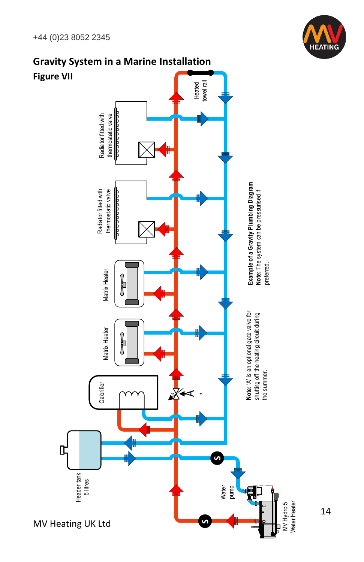

<span id="page-14-0"></span>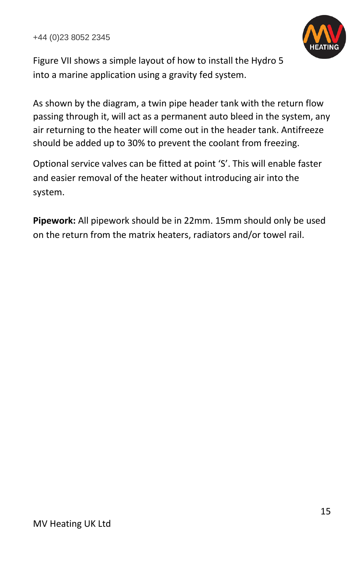

Figure VII shows a simple layout of how to install the Hydro 5 into a marine application using a gravity fed system.

As shown by the diagram, a twin pipe header tank with the return flow passing through it, will act as a permanent auto bleed in the system, any air returning to the heater will come out in the header tank. Antifreeze should be added up to 30% to prevent the coolant from freezing.

Optional service valves can be fitted at point 'S'. This will enable faster and easier removal of the heater without introducing air into the system.

**Pipework:** All pipework should be in 22mm. 15mm should only be used on the return from the matrix heaters, radiators and/or towel rail.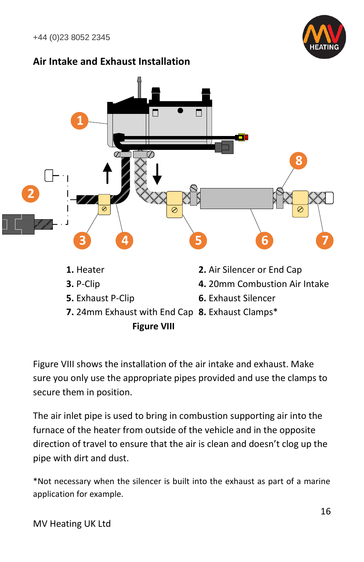

#### <span id="page-16-0"></span>**Air Intake and Exhaust Installation**



Figure VIII shows the installation of the air intake and exhaust. Make sure you only use the appropriate pipes provided and use the clamps to secure them in position.

The air inlet pipe is used to bring in combustion supporting air into the furnace of the heater from outside of the vehicle and in the opposite direction of travel to ensure that the air is clean and doesn't clog up the pipe with dirt and dust.

\*Not necessary when the silencer is built into the exhaust as part of a marine application for example.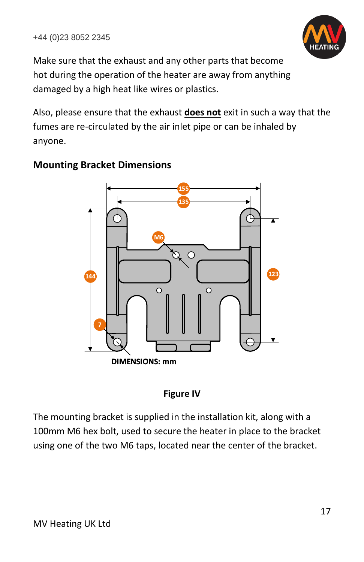

Make sure that the exhaust and any other parts that become hot during the operation of the heater are away from anything damaged by a high heat like wires or plastics.

Also, please ensure that the exhaust **does not** exit in such a way that the fumes are re-circulated by the air inlet pipe or can be inhaled by anyone.



#### <span id="page-17-0"></span>**Mounting Bracket Dimensions**



The mounting bracket is supplied in the installation kit, along with a 100mm M6 hex bolt, used to secure the heater in place to the bracket using one of the two M6 taps, located near the center of the bracket.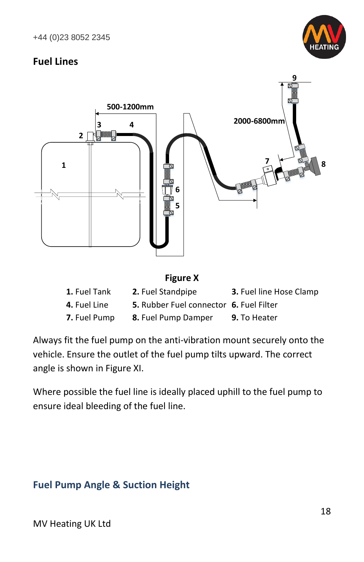

#### <span id="page-18-0"></span>**Fuel Lines**



| 1. Fuel Tank        | <b>2.</b> Fuel Standpipe                | 3. Fuel line Hose Clamp |
|---------------------|-----------------------------------------|-------------------------|
| <b>4.</b> Fuel Line | 5. Rubber Fuel connector 6. Fuel Filter |                         |
| 7. Fuel Pump        | 8. Fuel Pump Damper                     | <b>9.</b> To Heater     |

Always fit the fuel pump on the anti-vibration mount securely onto the vehicle. Ensure the outlet of the fuel pump tilts upward. The correct angle is shown in Figure XI.

Where possible the fuel line is ideally placed uphill to the fuel pump to ensure ideal bleeding of the fuel line.

#### <span id="page-18-1"></span>**Fuel Pump Angle & Suction Height**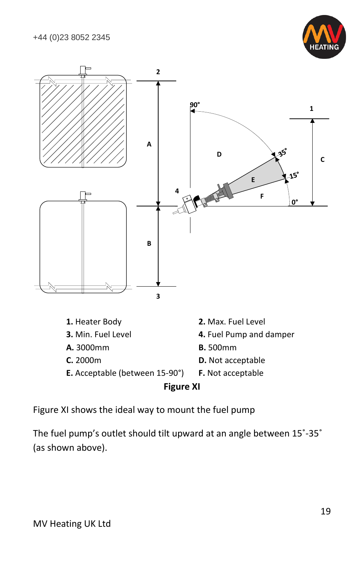



Figure XI shows the ideal way to mount the fuel pump

The fuel pump's outlet should tilt upward at an angle between 15˚-35˚ (as shown above).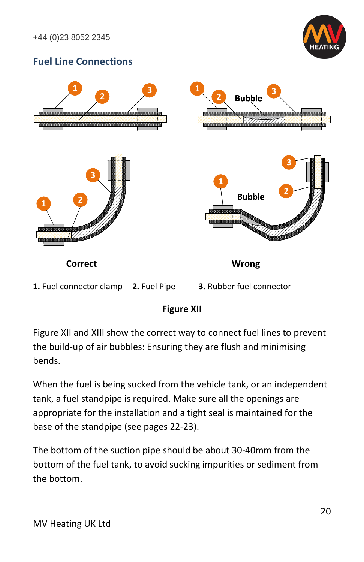

#### <span id="page-20-0"></span>**Fuel Line Connections**



#### **Figure XII**

Figure XII and XIII show the correct way to connect fuel lines to prevent the build-up of air bubbles: Ensuring they are flush and minimising bends.

When the fuel is being sucked from the vehicle tank, or an independent tank, a fuel standpipe is required. Make sure all the openings are appropriate for the installation and a tight seal is maintained for the base of the standpipe (see pages 22-23).

The bottom of the suction pipe should be about 30-40mm from the bottom of the fuel tank, to avoid sucking impurities or sediment from the bottom.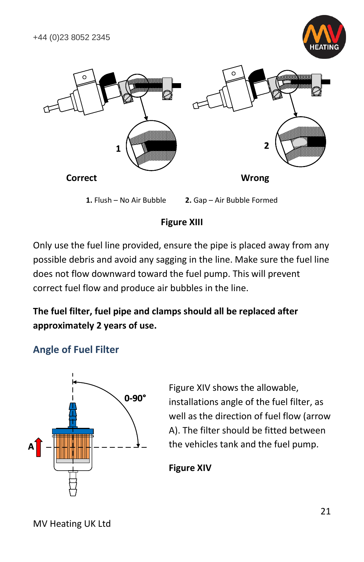



#### **Figure XIII**

Only use the fuel line provided, ensure the pipe is placed away from any possible debris and avoid any sagging in the line. Make sure the fuel line does not flow downward toward the fuel pump. This will prevent correct fuel flow and produce air bubbles in the line.

#### **The fuel filter, fuel pipe and clamps should all be replaced after approximately 2 years of use.**

#### <span id="page-21-0"></span>**Angle of Fuel Filter**



Figure XIV shows the allowable, installations angle of the fuel filter, as well as the direction of fuel flow (arrow A). The filter should be fitted between the vehicles tank and the fuel pump.

#### **Figure XIV**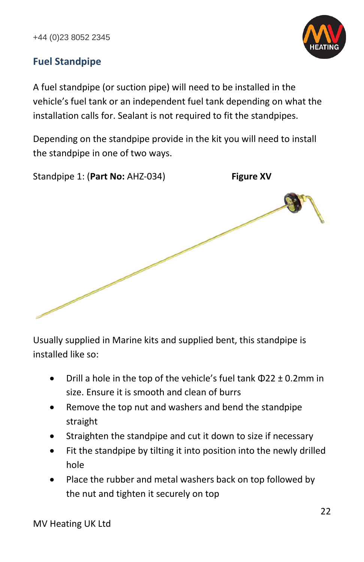

#### <span id="page-22-0"></span>**Fuel Standpipe**

A fuel standpipe (or suction pipe) will need to be installed in the vehicle's fuel tank or an independent fuel tank depending on what the installation calls for. Sealant is not required to fit the standpipes.

Depending on the standpipe provide in the kit you will need to install the standpipe in one of two ways.

Standpipe 1: (**Part No:** AHZ-034) **Figure XV**

Usually supplied in Marine kits and supplied bent, this standpipe is installed like so:

- Drill a hole in the top of the vehicle's fuel tank  $\Phi$ 22  $\pm$  0.2mm in size. Ensure it is smooth and clean of burrs
- Remove the top nut and washers and bend the standpipe straight
- Straighten the standpipe and cut it down to size if necessary
- Fit the standpipe by tilting it into position into the newly drilled hole
- Place the rubber and metal washers back on top followed by the nut and tighten it securely on top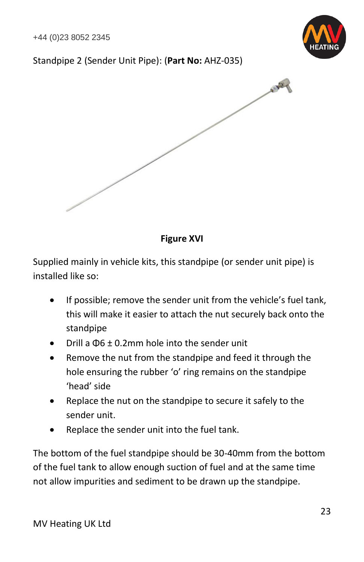

#### Standpipe 2 (Sender Unit Pipe): (**Part No:** AHZ-035)



#### **Figure XVI**

Supplied mainly in vehicle kits, this standpipe (or sender unit pipe) is installed like so:

- If possible; remove the sender unit from the vehicle's fuel tank, this will make it easier to attach the nut securely back onto the standpipe
- Drill a Φ6 ± 0.2mm hole into the sender unit
- Remove the nut from the standpipe and feed it through the hole ensuring the rubber 'o' ring remains on the standpipe 'head' side
- Replace the nut on the standpipe to secure it safely to the sender unit.
- Replace the sender unit into the fuel tank.

The bottom of the fuel standpipe should be 30-40mm from the bottom of the fuel tank to allow enough suction of fuel and at the same time not allow impurities and sediment to be drawn up the standpipe.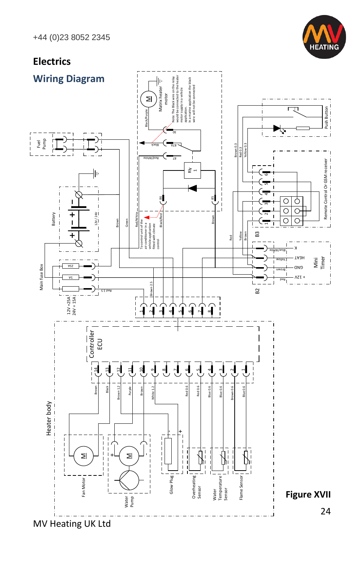

#### <span id="page-24-1"></span><span id="page-24-0"></span>**Electrics** Electrics<br>
Wiring D<br>
Heater body<br>
Heater body<br>
Heater body<br>
Heater body<br>
Heater body<br>
Heater body<br>
Heater body<br>
Heater body<br>
Heater body<br>
Heater Discours<br>
Heater Discours<br>
Heater Discours<br>
Heater Discours<br>
Heater Discours<br> Note: The Black wire on the relay would be connected to the heater motor supply in a vehicle application. In a marke connected to the black  $\parallel$ <br>a pplication. In a vehicle application the black  $\parallel$  wire will not be connec **Wiring Diagram** ╫ Matrix heater motor  $\mathbf{z}$ न्स्  $Push$  Button<br> $- \cdot - \cdot -$ Mini<br>Timer : Remote Control Or GSM receiver Push Button<br>Timer : Push Button Red/White Green Black/Purple kcal B eti h W/ deR 03 )<br>)<br>) Fuel Pump г<br>Н j Brown 0.3 A78 Red 0.3 Remote Control Or GSM receiver<br> $- \cdot - \cdot - \cdot - \cdot - \cdot -$ 78 Remote Control Or GSM receiver Red 2008 Particle 2009 Particle 2009 Particle 2009 Particle 2009 Particle 2009 Particle 2009 Particle 2009 Par ŀ -ن<br>5 ທ 2 3 4 86 85  $\overline{\circ}$ Ō Ï  $\overline{\circ}$  $\overline{\circ}$ 12V/ 24V ÷ Main fuse Box Battery j Brown  $\overline{\circ}$ ਟ To control unit of the<br>air conditioner in a<br>vehicle application<br>fitted with climate control Black/R Î  $\mathbf{I}$ Brown  $\overline{\phantom{a}}$ Yellow<br>Brown B2 **iii** ii ii B3 Red I K etiu Wylite Timer TAEH Mini woll eY vsz and n wor B AZT+ A5 baЯ L Brown 2.5  $B<sub>2</sub>$ 5. 2 deR  $12V = 25A$  |<br> $24V = 15A$  |  $\mathbf{r}'$ 8  $\mathbf \sim$ m 4m  $\lceil$  $\frac{1}{\text{Controller}}$  $\overline{1}$ 14 9 ្ន 12 11 8 4თ 7 ω m  $\sim$ slue 0.6  $r^2$ <br>Purple Black trown 0.6 Blue 0.6 |<br>|-<br>|-<br>|-Brown White <sup>1</sup>.2 Red 0.6 Blue 0.6 ed 0.6 Brown 0.6 j  $-1 - 1 - 1 - 1 - 1 - 1 - 1$ Heater body +ï f ī Í  $\begin{array}{c} \n 1 \\
 1 \\
 1\n \end{array}$  $\overline{\phantom{a}}$ Î Î  $\mathbf{I}$  $\overline{1}$ ł. Ī ł. ł  $\frac{1}{1}$ Î  $\frac{1}{1}$  $\leq$  $\overline{\phantom{a}}$ +M Ï  $\blacksquare$  $\mathbf{I}$ i Glow Plug<sub>1</sub> Ī Overheating |<br>Sensor<br>Sensor Water<br>Temperature <sup>|</sup><br>Sensor Flame Sensor Flame Sensor Fan Motor Fan Motor **Figure XVII**Water<br>Pump 24

MV Heating UK Ltd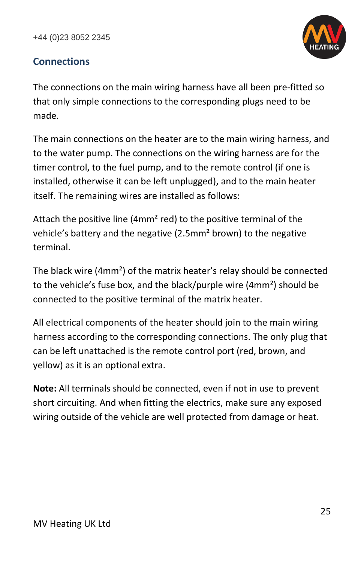

#### <span id="page-25-0"></span>**Connections**

The connections on the main wiring harness have all been pre-fitted so that only simple connections to the corresponding plugs need to be made.

The main connections on the heater are to the main wiring harness, and to the water pump. The connections on the wiring harness are for the timer control, to the fuel pump, and to the remote control (if one is installed, otherwise it can be left unplugged), and to the main heater itself. The remaining wires are installed as follows:

Attach the positive line (4mm<sup>2</sup> red) to the positive terminal of the vehicle's battery and the negative (2.5mm² brown) to the negative terminal.

The black wire (4mm²) of the matrix heater's relay should be connected to the vehicle's fuse box, and the black/purple wire (4mm²) should be connected to the positive terminal of the matrix heater.

All electrical components of the heater should join to the main wiring harness according to the corresponding connections. The only plug that can be left unattached is the remote control port (red, brown, and yellow) as it is an optional extra.

**Note:** All terminals should be connected, even if not in use to prevent short circuiting. And when fitting the electrics, make sure any exposed wiring outside of the vehicle are well protected from damage or heat.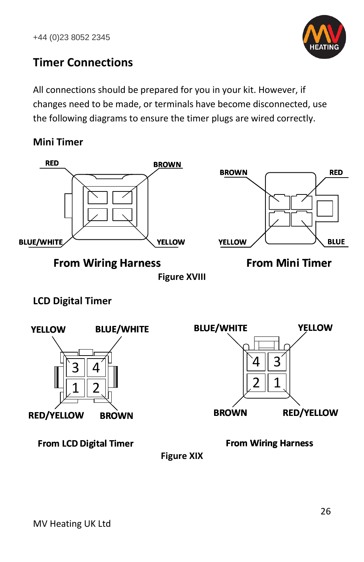

#### <span id="page-26-0"></span>**Timer Connections**

All connections should be prepared for you in your kit. However, if changes need to be made, or terminals have become disconnected, use the following diagrams to ensure the timer plugs are wired correctly.

<span id="page-26-1"></span>**Mini Timer**



**Figure XVIII**

#### <span id="page-26-2"></span>**LCD Digital Timer**



**Figure XIX**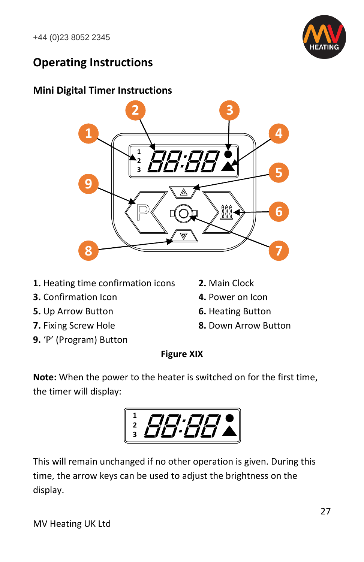

#### <span id="page-27-0"></span>**Operating Instructions**

#### <span id="page-27-1"></span>**Mini Digital Timer Instructions**



- **1.** Heating time confirmation icons **2.** Main Clock
- **3.** Confirmation Icon **4. Power on Icon**
- **5.** Up Arrow Button **6.** Heating Button
- 
- **9.** 'P' (Program) Button
- 
- 
- 
- **7.** Fixing Screw Hole **8.** Down Arrow Button

#### **Figure XIX**

**Note:** When the power to the heater is switched on for the first time, the timer will display:



This will remain unchanged if no other operation is given. During this time, the arrow keys can be used to adjust the brightness on the display.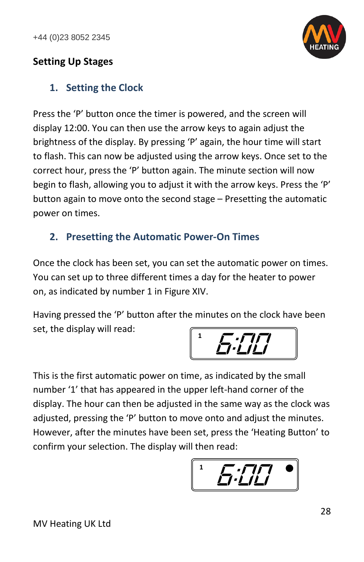

#### <span id="page-28-0"></span>**Setting Up Stages**

#### <span id="page-28-1"></span>**1. Setting the Clock**

Press the 'P' button once the timer is powered, and the screen will display 12:00. You can then use the arrow keys to again adjust the brightness of the display. By pressing 'P' again, the hour time will start to flash. This can now be adjusted using the arrow keys. Once set to the correct hour, press the 'P' button again. The minute section will now begin to flash, allowing you to adjust it with the arrow keys. Press the 'P' button again to move onto the second stage – Presetting the automatic power on times.

#### <span id="page-28-2"></span>**2. Presetting the Automatic Power-On Times**

Once the clock has been set, you can set the automatic power on times. You can set up to three different times a day for the heater to power on, as indicated by number 1 in Figure XIV.

Having pressed the 'P' button after the minutes on the clock have been set, the display will read:



This is the first automatic power on time, as indicated by the small number '1' that has appeared in the upper left-hand corner of the display. The hour can then be adjusted in the same way as the clock was adjusted, pressing the 'P' button to move onto and adjust the minutes. However, after the minutes have been set, press the 'Heating Button' to confirm your selection. The display will then read:

*6:00* **1**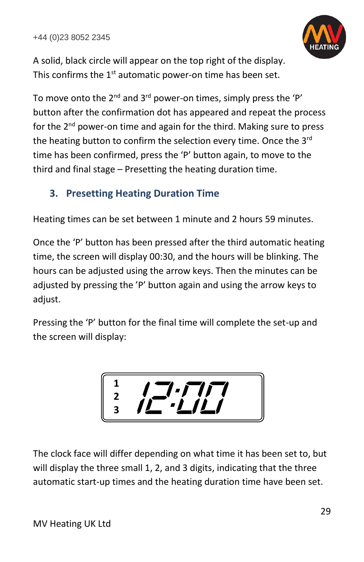

A solid, black circle will appear on the top right of the display. This confirms the  $1<sup>st</sup>$  automatic power-on time has been set.

To move onto the  $2^{nd}$  and  $3^{rd}$  power-on times, simply press the 'P' button after the confirmation dot has appeared and repeat the process for the 2<sup>nd</sup> power-on time and again for the third. Making sure to press the heating button to confirm the selection every time. Once the 3rd time has been confirmed, press the 'P' button again, to move to the third and final stage – Presetting the heating duration time.

#### <span id="page-29-0"></span>**3. Presetting Heating Duration Time**

Heating times can be set between 1 minute and 2 hours 59 minutes.

Once the 'P' button has been pressed after the third automatic heating time, the screen will display 00:30, and the hours will be blinking. The hours can be adjusted using the arrow keys. Then the minutes can be adjusted by pressing the 'P' button again and using the arrow keys to adjust.

Pressing the 'P' button for the final time will complete the set-up and the screen will display:

$$
\left[\begin{array}{c|c}\n1 & \overline{1} & \overline{1} & \overline{1} & \overline{1} \\
2 & \overline{1} & \overline{1} & \overline{1} & \overline{1} & \overline{1} \\
3 & \overline{1} & \overline{1} & \overline{1} & \overline{1} & \overline{1}\n\end{array}\right]
$$

The clock face will differ depending on what time it has been set to, but will display the three small 1, 2, and 3 digits, indicating that the three automatic start-up times and the heating duration time have been set.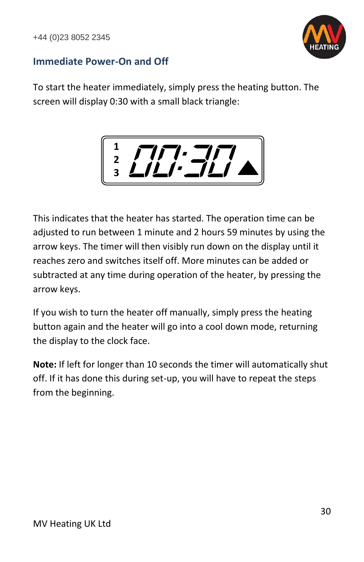

#### <span id="page-30-0"></span>**Immediate Power-On and Off**

To start the heater immediately, simply press the heating button. The screen will display 0:30 with a small black triangle:



This indicates that the heater has started. The operation time can be adjusted to run between 1 minute and 2 hours 59 minutes by using the arrow keys. The timer will then visibly run down on the display until it reaches zero and switches itself off. More minutes can be added or subtracted at any time during operation of the heater, by pressing the arrow keys.

If you wish to turn the heater off manually, simply press the heating button again and the heater will go into a cool down mode, returning the display to the clock face.

**Note:** If left for longer than 10 seconds the timer will automatically shut off. If it has done this during set-up, you will have to repeat the steps from the beginning.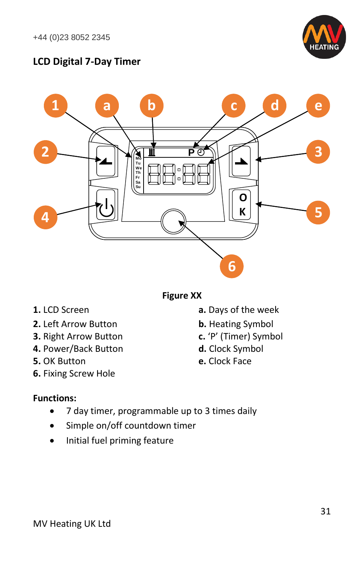

#### <span id="page-31-0"></span>**LCD Digital 7-Day Timer**



**Figure XX**

- 
- **2.** Left Arrow Button **b.** Heating Symbol
- **3.** Right Arrow Button **c.** 'P' (Timer) Symbol
- **4.** Power/Back Button **d.** Clock Symbol
- **5.** OK Button **e.** Clock Face
- **6.** Fixing Screw Hole

#### **Functions:**

- 7 day timer, programmable up to 3 times daily
- Simple on/off countdown timer
- Initial fuel priming feature
- **1.** LCD Screen **a.** Days of the week
	-
	-
	-
	-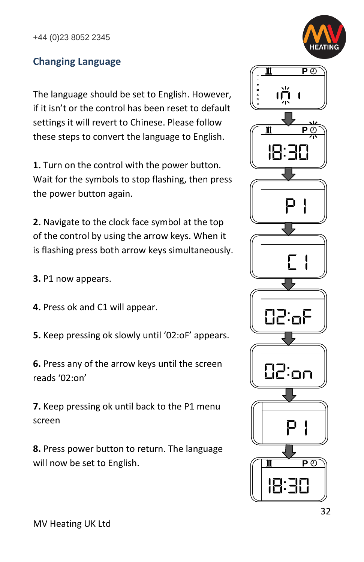

#### <span id="page-32-0"></span>**Changing Language**

The language should be set to English. However, if it isn't or the control has been reset to default settings it will revert to Chinese. Please follow these steps to convert the language to English.

**1.** Turn on the control with the power button. Wait for the symbols to stop flashing, then press the power button again.

**2.** Navigate to the clock face symbol at the top of the control by using the arrow keys. When it is flashing press both arrow keys simultaneously.

**3.** P1 now appears.

- **4.** Press ok and C1 will appear.
- **5.** Keep pressing ok slowly until '02:oF' appears.

**6.** Press any of the arrow keys until the screen reads '02:on'

**7.** Keep pressing ok until back to the P1 menu screen

**8.** Press power button to return. The language will now be set to English.

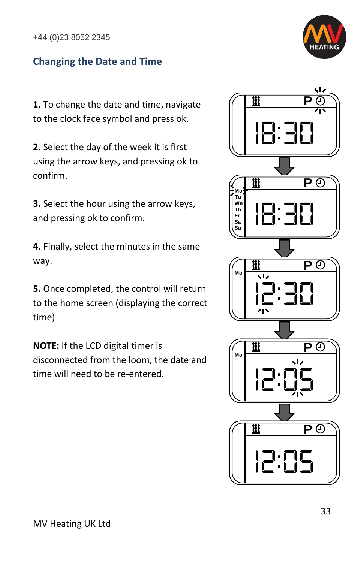#### <span id="page-33-0"></span>**Changing the Date and Time**



**1.** To change the date and time, navigate to the clock face symbol and press ok.

**2.** Select the day of the week it is first using the arrow keys, and pressing ok to confirm.

**3.** Select the hour using the arrow keys, and pressing ok to confirm.

**4.** Finally, select the minutes in the same way.

**5.** Once completed, the control will return to the home screen (displaying the correct time)

**NOTE:** If the LCD digital timer is disconnected from the loom, the date and time will need to be re-entered.

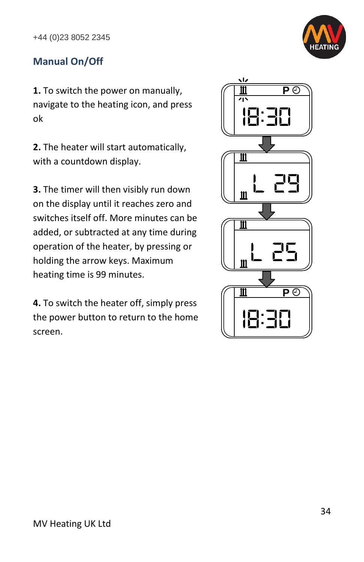

#### <span id="page-34-0"></span>**Manual On/Off**

**1.** To switch the power on manually, navigate to the heating icon, and press ok

**2.** The heater will start automatically, with a countdown display.

**3.** The timer will then visibly run down on the display until it reaches zero and switches itself off. More minutes can be added, or subtracted at any time during operation of the heater, by pressing or holding the arrow keys. Maximum heating time is 99 minutes.

**4.** To switch the heater off, simply press the power button to return to the home screen.

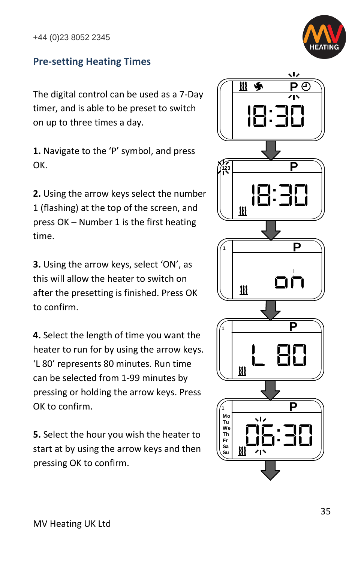

#### <span id="page-35-0"></span>**Pre-setting Heating Times**

The digital control can be used as a 7-Day timer, and is able to be preset to switch on up to three times a day.

**1.** Navigate to the 'P' symbol, and press OK.

**2.** Using the arrow keys select the number 1 (flashing) at the top of the screen, and press OK – Number 1 is the first heating time.

**3.** Using the arrow keys, select 'ON', as this will allow the heater to switch on after the presetting is finished. Press OK to confirm.

**4.** Select the length of time you want the heater to run for by using the arrow keys. 'L 80' represents 80 minutes. Run time can be selected from 1-99 minutes by pressing or holding the arrow keys. Press OK to confirm.

**5.** Select the hour you wish the heater to start at by using the arrow keys and then pressing OK to confirm.

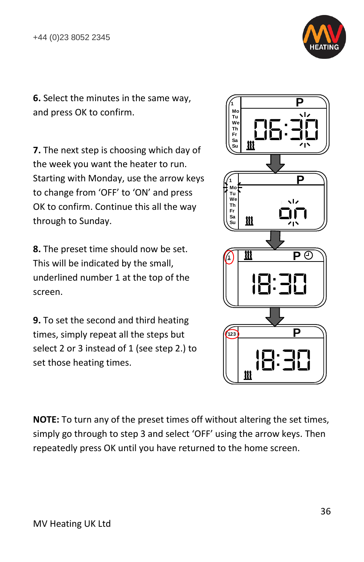

**6.** Select the minutes in the same way, and press OK to confirm.

**7.** The next step is choosing which day of the week you want the heater to run. Starting with Monday, use the arrow keys to change from 'OFF' to 'ON' and press OK to confirm. Continue this all the way through to Sunday.

**8.** The preset time should now be set. This will be indicated by the small, underlined number 1 at the top of the screen.

**9.** To set the second and third heating times, simply repeat all the steps but select 2 or 3 instead of 1 (see step 2.) to set those heating times.



**NOTE:** To turn any of the preset times off without altering the set times, simply go through to step 3 and select 'OFF' using the arrow keys. Then repeatedly press OK until you have returned to the home screen.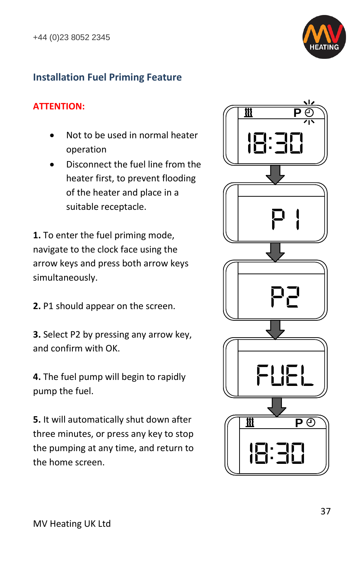

#### <span id="page-37-0"></span>**Installation Fuel Priming Feature**

#### **ATTENTION:**

- Not to be used in normal heater operation
- Disconnect the fuel line from the heater first, to prevent flooding of the heater and place in a suitable receptacle.

**1.** To enter the fuel priming mode, navigate to the clock face using the arrow keys and press both arrow keys simultaneously.

**2.** P1 should appear on the screen.

**3.** Select P2 by pressing any arrow key, and confirm with OK.

**4.** The fuel pump will begin to rapidly pump the fuel.

**5.** It will automatically shut down after three minutes, or press any key to stop the pumping at any time, and return to the home screen.

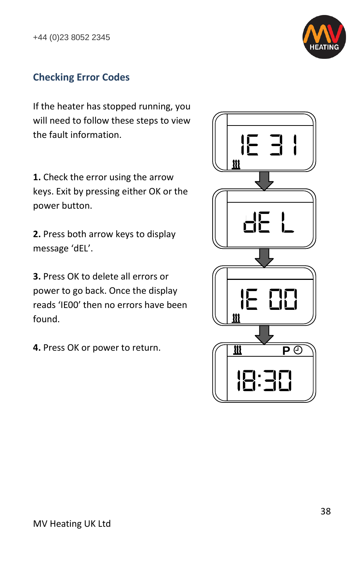

#### <span id="page-38-0"></span>**Checking Error Codes**

If the heater has stopped running, you will need to follow these steps to view the fault information.

**1.** Check the error using the arrow keys. Exit by pressing either OK or the power button.

**2.** Press both arrow keys to display message 'dEL'.

**3.** Press OK to delete all errors or power to go back. Once the display reads 'IE00' then no errors have been found.

<span id="page-38-1"></span>**4.** Press OK or power to return.

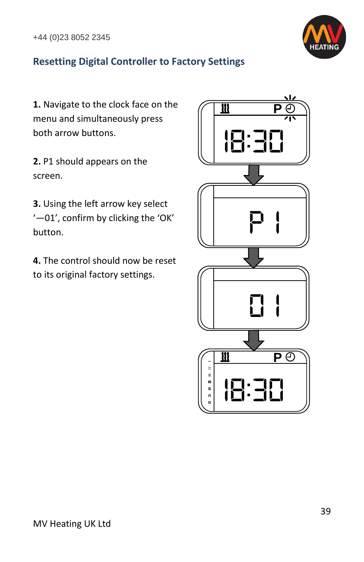

#### **Resetting Digital Controller to Factory Settings**

**1.** Navigate to the clock face on the menu and simultaneously press both arrow buttons.

**2.** P1 should appears on the screen.

**3.** Using the left arrow key select '—01', confirm by clicking the 'OK' button.

**4.** The control should now be reset to its original factory settings.

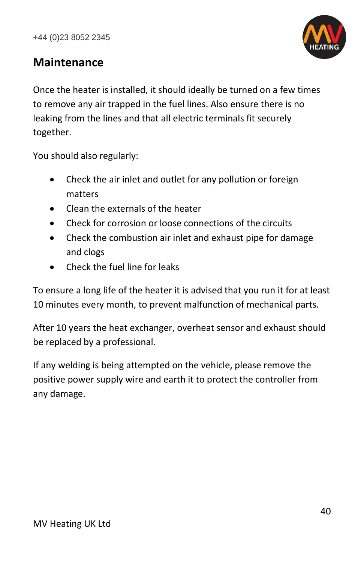

#### <span id="page-40-0"></span>**Maintenance**

Once the heater is installed, it should ideally be turned on a few times to remove any air trapped in the fuel lines. Also ensure there is no leaking from the lines and that all electric terminals fit securely together.

You should also regularly:

- Check the air inlet and outlet for any pollution or foreign matters
- Clean the externals of the heater
- Check for corrosion or loose connections of the circuits
- Check the combustion air inlet and exhaust pipe for damage and clogs
- Check the fuel line for leaks

To ensure a long life of the heater it is advised that you run it for at least 10 minutes every month, to prevent malfunction of mechanical parts.

After 10 years the heat exchanger, overheat sensor and exhaust should be replaced by a professional.

If any welding is being attempted on the vehicle, please remove the positive power supply wire and earth it to protect the controller from any damage.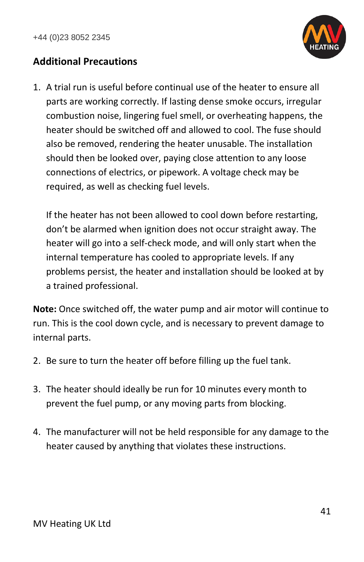

#### <span id="page-41-0"></span>**Additional Precautions**

1. A trial run is useful before continual use of the heater to ensure all parts are working correctly. If lasting dense smoke occurs, irregular combustion noise, lingering fuel smell, or overheating happens, the heater should be switched off and allowed to cool. The fuse should also be removed, rendering the heater unusable. The installation should then be looked over, paying close attention to any loose connections of electrics, or pipework. A voltage check may be required, as well as checking fuel levels.

If the heater has not been allowed to cool down before restarting, don't be alarmed when ignition does not occur straight away. The heater will go into a self-check mode, and will only start when the internal temperature has cooled to appropriate levels. If any problems persist, the heater and installation should be looked at by a trained professional.

**Note:** Once switched off, the water pump and air motor will continue to run. This is the cool down cycle, and is necessary to prevent damage to internal parts.

- 2. Be sure to turn the heater off before filling up the fuel tank.
- 3. The heater should ideally be run for 10 minutes every month to prevent the fuel pump, or any moving parts from blocking.
- 4. The manufacturer will not be held responsible for any damage to the heater caused by anything that violates these instructions.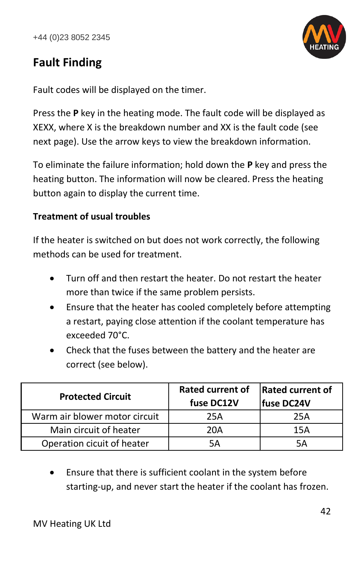

#### <span id="page-42-0"></span>**Fault Finding**

Fault codes will be displayed on the timer.

Press the **P** key in the heating mode. The fault code will be displayed as XEXX, where X is the breakdown number and XX is the fault code (see next page). Use the arrow keys to view the breakdown information.

To eliminate the failure information; hold down the **P** key and press the heating button. The information will now be cleared. Press the heating button again to display the current time.

#### **Treatment of usual troubles**

If the heater is switched on but does not work correctly, the following methods can be used for treatment.

- Turn off and then restart the heater. Do not restart the heater more than twice if the same problem persists.
- Ensure that the heater has cooled completely before attempting a restart, paying close attention if the coolant temperature has exceeded 70°C.
- Check that the fuses between the battery and the heater are correct (see below).

| <b>Protected Circuit</b>      | <b>Rated current of</b><br>fuse DC12V | <b>Rated current of</b><br> fuse DC24V |
|-------------------------------|---------------------------------------|----------------------------------------|
| Warm air blower motor circuit | 25A                                   | 25A                                    |
| Main circuit of heater        | 20A                                   | 15A                                    |
| Operation cicuit of heater    | 5Δ                                    | 5Δ                                     |

Ensure that there is sufficient coolant in the system before starting-up, and never start the heater if the coolant has frozen.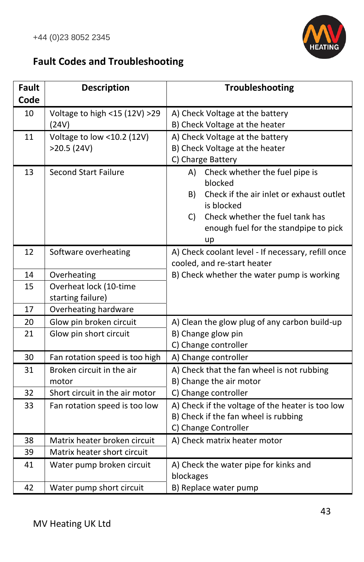

#### <span id="page-43-0"></span>**Fault Codes and Troubleshooting**

| <b>Fault</b> | <b>Description</b>             | Troubleshooting                                    |
|--------------|--------------------------------|----------------------------------------------------|
| Code         |                                |                                                    |
| 10           | Voltage to high <15 (12V) >29  | A) Check Voltage at the battery                    |
|              | (24V)                          | B) Check Voltage at the heater                     |
| 11           | Voltage to low <10.2 (12V)     | A) Check Voltage at the battery                    |
|              | >20.5(24V)                     | B) Check Voltage at the heater                     |
|              |                                | C) Charge Battery                                  |
| 13           | <b>Second Start Failure</b>    | Check whether the fuel pipe is<br>A)               |
|              |                                | blocked                                            |
|              |                                | Check if the air inlet or exhaust outlet<br>B)     |
|              |                                | is blocked                                         |
|              |                                | Check whether the fuel tank has<br>C)              |
|              |                                | enough fuel for the standpipe to pick              |
|              |                                | up                                                 |
| 12           | Software overheating           | A) Check coolant level - If necessary, refill once |
|              |                                | cooled, and re-start heater                        |
| 14           | Overheating                    | B) Check whether the water pump is working         |
| 15           | Overheat lock (10-time         |                                                    |
|              | starting failure)              |                                                    |
| 17           | Overheating hardware           |                                                    |
| 20           | Glow pin broken circuit        | A) Clean the glow plug of any carbon build-up      |
| 21           | Glow pin short circuit         | B) Change glow pin                                 |
|              |                                | C) Change controller                               |
| 30           | Fan rotation speed is too high | A) Change controller                               |
| 31           | Broken circuit in the air      | A) Check that the fan wheel is not rubbing         |
|              | motor                          | B) Change the air motor                            |
| 32           | Short circuit in the air motor | C) Change controller                               |
| 33           | Fan rotation speed is too low  | A) Check if the voltage of the heater is too low   |
|              |                                | B) Check if the fan wheel is rubbing               |
|              |                                | C) Change Controller                               |
| 38           | Matrix heater broken circuit   | A) Check matrix heater motor                       |
| 39           | Matrix heater short circuit    |                                                    |
| 41           | Water pump broken circuit      | A) Check the water pipe for kinks and              |
|              |                                | blockages                                          |
| 42           | Water pump short circuit       | B) Replace water pump                              |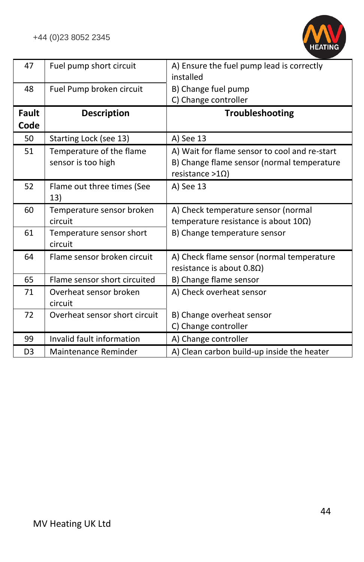

| 47             | Fuel pump short circuit                        | A) Ensure the fuel pump lead is correctly<br>installed                                                                  |
|----------------|------------------------------------------------|-------------------------------------------------------------------------------------------------------------------------|
| 48             | Fuel Pump broken circuit                       | B) Change fuel pump<br>C) Change controller                                                                             |
| Fault<br>Code  | <b>Description</b>                             | Troubleshooting                                                                                                         |
| 50             | Starting Lock (see 13)                         | A) See 13                                                                                                               |
| 51             | Temperature of the flame<br>sensor is too high | A) Wait for flame sensor to cool and re-start<br>B) Change flame sensor (normal temperature<br>resistance >1 $\Omega$ ) |
| 52             | Flame out three times (See<br>13)              | A) See 13                                                                                                               |
| 60             | Temperature sensor broken<br>circuit           | A) Check temperature sensor (normal<br>temperature resistance is about $10\Omega$ )                                     |
| 61             | Temperature sensor short<br>circuit            | B) Change temperature sensor                                                                                            |
| 64             | Flame sensor broken circuit                    | A) Check flame sensor (normal temperature<br>resistance is about $0.8\Omega$ )                                          |
| 65             | Flame sensor short circuited                   | B) Change flame sensor                                                                                                  |
| 71             | Overheat sensor broken<br>circuit              | A) Check overheat sensor                                                                                                |
| 72             | Overheat sensor short circuit                  | B) Change overheat sensor<br>C) Change controller                                                                       |
| 99             | Invalid fault information                      | A) Change controller                                                                                                    |
| D <sub>3</sub> | Maintenance Reminder                           | A) Clean carbon build-up inside the heater                                                                              |